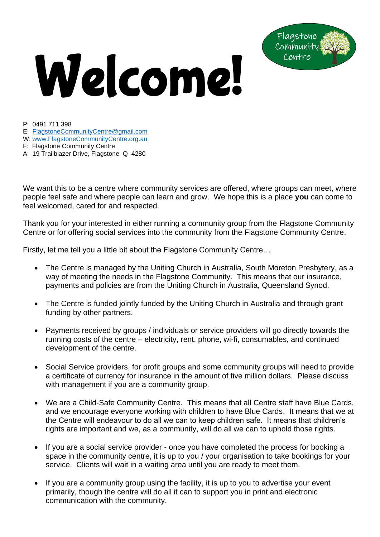## Welcome!



P: 0491 711 398

E: [FlagstoneCommunityCentre@gmail.com](mailto:FlagstoneCommunityCentre@gmail.com)

W: [www.FlagstoneCommunityCentre.org.au](http://www.flagstonecommunitycentre.org.au/)

F: Flagstone Community Centre

A: 19 Trailblazer Drive, Flagstone Q 4280

We want this to be a centre where community services are offered, where groups can meet, where people feel safe and where people can learn and grow. We hope this is a place **you** can come to feel welcomed, cared for and respected.

Thank you for your interested in either running a community group from the Flagstone Community Centre or for offering social services into the community from the Flagstone Community Centre.

Firstly, let me tell you a little bit about the Flagstone Community Centre…

- The Centre is managed by the Uniting Church in Australia, South Moreton Presbytery, as a way of meeting the needs in the Flagstone Community. This means that our insurance, payments and policies are from the Uniting Church in Australia, Queensland Synod.
- The Centre is funded jointly funded by the Uniting Church in Australia and through grant funding by other partners.
- Payments received by groups / individuals or service providers will go directly towards the running costs of the centre – electricity, rent, phone, wi-fi, consumables, and continued development of the centre.
- Social Service providers, for profit groups and some community groups will need to provide a certificate of currency for insurance in the amount of five million dollars. Please discuss with management if you are a community group.
- We are a Child-Safe Community Centre. This means that all Centre staff have Blue Cards, and we encourage everyone working with children to have Blue Cards. It means that we at the Centre will endeavour to do all we can to keep children safe. It means that children's rights are important and we, as a community, will do all we can to uphold those rights.
- If you are a social service provider once you have completed the process for booking a space in the community centre, it is up to you / your organisation to take bookings for your service. Clients will wait in a waiting area until you are ready to meet them.
- If you are a community group using the facility, it is up to you to advertise your event primarily, though the centre will do all it can to support you in print and electronic communication with the community.